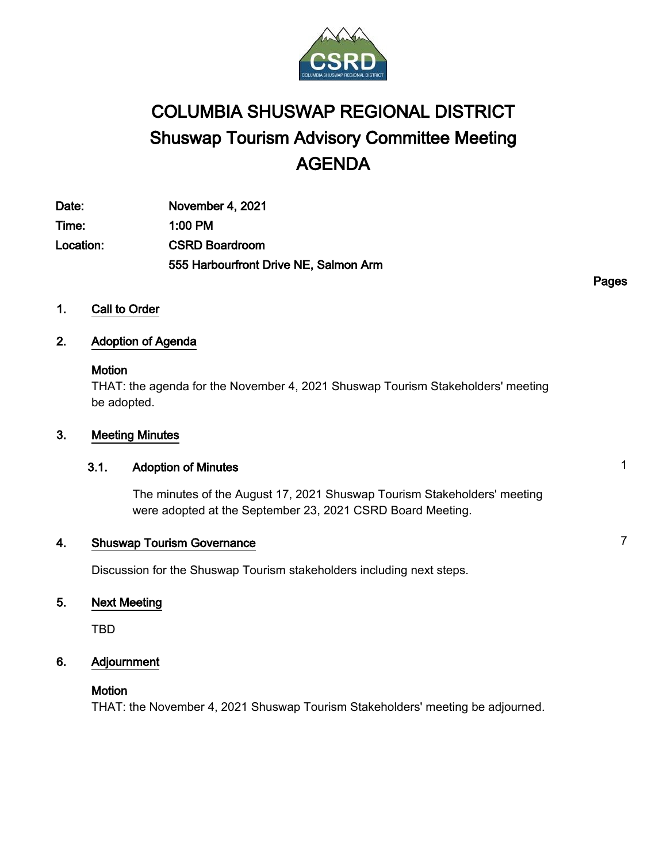

# COLUMBIA SHUSWAP REGIONAL DISTRICT Shuswap Tourism Advisory Committee Meeting AGENDA

Date: November 4, 2021 Time: 1:00 PM Location: CSRD Boardroom 555 Harbourfront Drive NE, Salmon Arm

Pages

1. Call to Order

## 2. Adoption of Agenda

#### **Motion**

THAT: the agenda for the November 4, 2021 Shuswap Tourism Stakeholders' meeting be adopted.

#### 3. Meeting Minutes

#### 3.1. Adoption of Minutes 1

The minutes of the August 17, 2021 Shuswap Tourism Stakeholders' meeting were adopted at the September 23, 2021 CSRD Board Meeting.

# **4.** Shuswap Tourism Governance **7 7**

Discussion for the Shuswap Tourism stakeholders including next steps.

#### 5. Next Meeting

TBD

#### 6. Adjournment

#### **Motion**

THAT: the November 4, 2021 Shuswap Tourism Stakeholders' meeting be adjourned.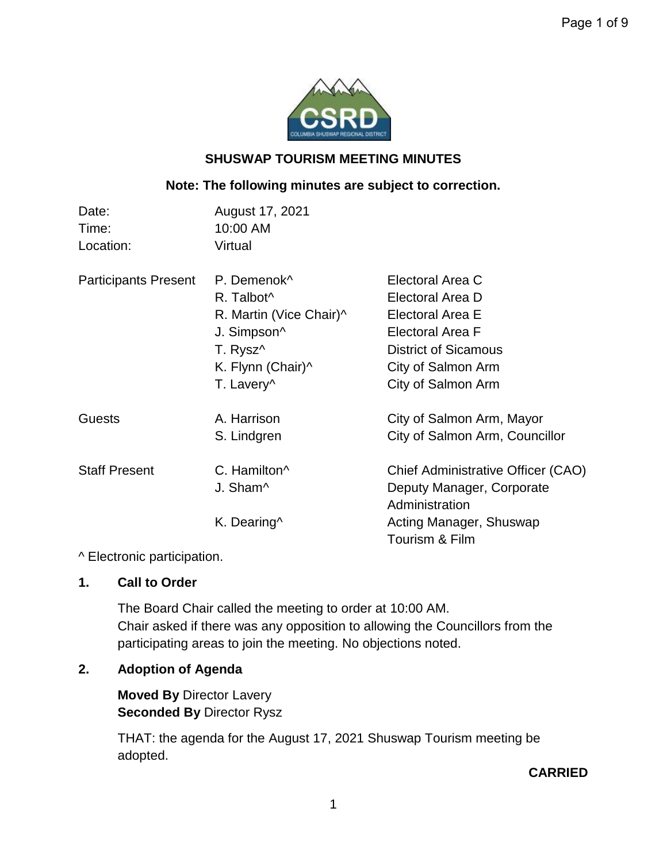

# **SHUSWAP TOURISM MEETING MINUTES**

# **Note: The following minutes are subject to correction.**

| Date:<br>Time:<br>Location: | August 17, 2021<br>10:00 AM<br>Virtual |                                    |
|-----------------------------|----------------------------------------|------------------------------------|
| <b>Participants Present</b> | P. Demenok <sup>^</sup>                | Electoral Area C                   |
|                             | R. Talbot <sup>^</sup>                 | Electoral Area D                   |
|                             | R. Martin (Vice Chair)^                | Electoral Area E                   |
|                             | J. Simpson^                            | <b>Electoral Area F</b>            |
|                             | T. Rysz <sup>^</sup>                   | <b>District of Sicamous</b>        |
|                             | K. Flynn (Chair)^                      | City of Salmon Arm                 |
|                             | T. Lavery <sup>^</sup>                 | City of Salmon Arm                 |
| <b>Guests</b>               | A. Harrison                            | City of Salmon Arm, Mayor          |
|                             | S. Lindgren                            | City of Salmon Arm, Councillor     |
| <b>Staff Present</b>        | C. Hamilton <sup>^</sup>               | Chief Administrative Officer (CAO) |
|                             | J. Sham <sup>^</sup>                   | Deputy Manager, Corporate          |
|                             |                                        | Administration                     |
|                             | K. Dearing^                            | Acting Manager, Shuswap            |
|                             |                                        | Tourism & Film                     |

^ Electronic participation.

**1. Call to Order**

The Board Chair called the meeting to order at 10:00 AM. Chair asked if there was any opposition to allowing the Councillors from the participating areas to join the meeting. No objections noted.

# **2. Adoption of Agenda**

**Moved By** Director Lavery **Seconded By** Director Rysz

THAT: the agenda for the August 17, 2021 Shuswap Tourism meeting be adopted.

# **CARRIED**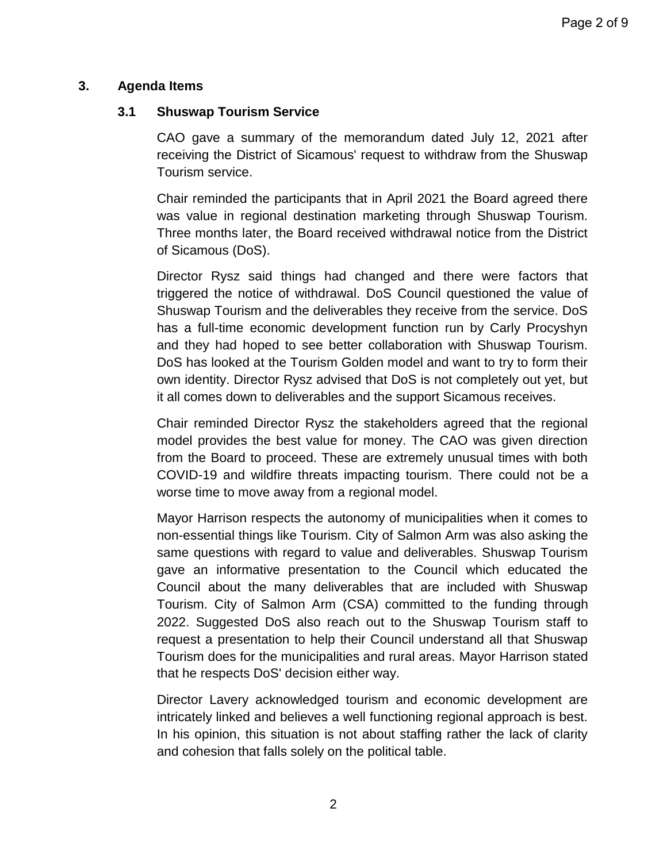# **3. Agenda Items**

# **3.1 Shuswap Tourism Service**

CAO gave a summary of the memorandum dated July 12, 2021 after receiving the District of Sicamous' request to withdraw from the Shuswap Tourism service.

Chair reminded the participants that in April 2021 the Board agreed there was value in regional destination marketing through Shuswap Tourism. Three months later, the Board received withdrawal notice from the District of Sicamous (DoS).

Director Rysz said things had changed and there were factors that triggered the notice of withdrawal. DoS Council questioned the value of Shuswap Tourism and the deliverables they receive from the service. DoS has a full-time economic development function run by Carly Procyshyn and they had hoped to see better collaboration with Shuswap Tourism. DoS has looked at the Tourism Golden model and want to try to form their own identity. Director Rysz advised that DoS is not completely out yet, but it all comes down to deliverables and the support Sicamous receives.

Chair reminded Director Rysz the stakeholders agreed that the regional model provides the best value for money. The CAO was given direction from the Board to proceed. These are extremely unusual times with both COVID-19 and wildfire threats impacting tourism. There could not be a worse time to move away from a regional model.

Mayor Harrison respects the autonomy of municipalities when it comes to non-essential things like Tourism. City of Salmon Arm was also asking the same questions with regard to value and deliverables. Shuswap Tourism gave an informative presentation to the Council which educated the Council about the many deliverables that are included with Shuswap Tourism. City of Salmon Arm (CSA) committed to the funding through 2022. Suggested DoS also reach out to the Shuswap Tourism staff to request a presentation to help their Council understand all that Shuswap Tourism does for the municipalities and rural areas. Mayor Harrison stated that he respects DoS' decision either way.

Director Lavery acknowledged tourism and economic development are intricately linked and believes a well functioning regional approach is best. In his opinion, this situation is not about staffing rather the lack of clarity and cohesion that falls solely on the political table.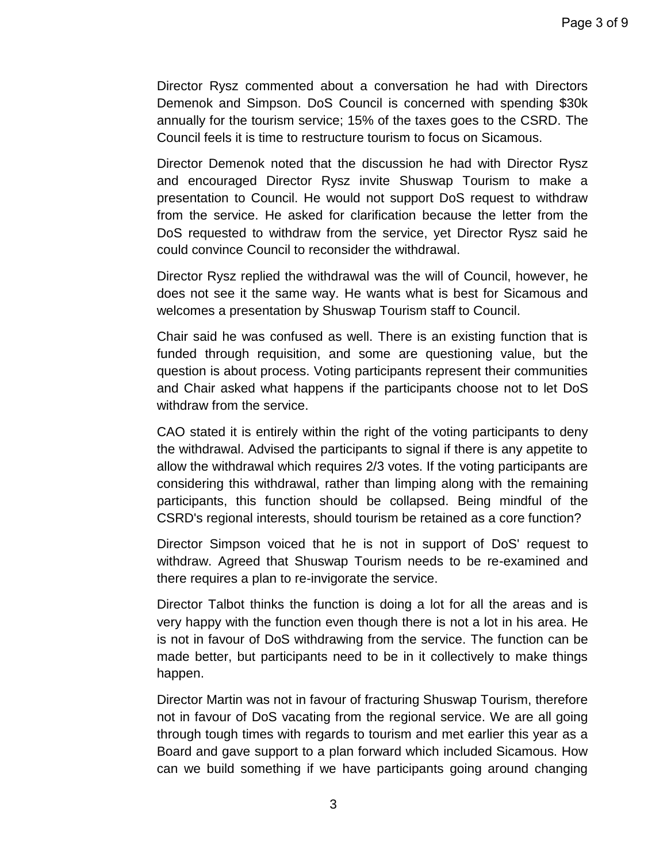Director Rysz commented about a conversation he had with Directors Demenok and Simpson. DoS Council is concerned with spending \$30k annually for the tourism service; 15% of the taxes goes to the CSRD. The Council feels it is time to restructure tourism to focus on Sicamous.

Director Demenok noted that the discussion he had with Director Rysz and encouraged Director Rysz invite Shuswap Tourism to make a presentation to Council. He would not support DoS request to withdraw from the service. He asked for clarification because the letter from the DoS requested to withdraw from the service, yet Director Rysz said he could convince Council to reconsider the withdrawal.

Director Rysz replied the withdrawal was the will of Council, however, he does not see it the same way. He wants what is best for Sicamous and welcomes a presentation by Shuswap Tourism staff to Council.

Chair said he was confused as well. There is an existing function that is funded through requisition, and some are questioning value, but the question is about process. Voting participants represent their communities and Chair asked what happens if the participants choose not to let DoS withdraw from the service.

CAO stated it is entirely within the right of the voting participants to deny the withdrawal. Advised the participants to signal if there is any appetite to allow the withdrawal which requires 2/3 votes. If the voting participants are considering this withdrawal, rather than limping along with the remaining participants, this function should be collapsed. Being mindful of the CSRD's regional interests, should tourism be retained as a core function?

Director Simpson voiced that he is not in support of DoS' request to withdraw. Agreed that Shuswap Tourism needs to be re-examined and there requires a plan to re-invigorate the service.

Director Talbot thinks the function is doing a lot for all the areas and is very happy with the function even though there is not a lot in his area. He is not in favour of DoS withdrawing from the service. The function can be made better, but participants need to be in it collectively to make things happen.

Director Martin was not in favour of fracturing Shuswap Tourism, therefore not in favour of DoS vacating from the regional service. We are all going through tough times with regards to tourism and met earlier this year as a Board and gave support to a plan forward which included Sicamous. How can we build something if we have participants going around changing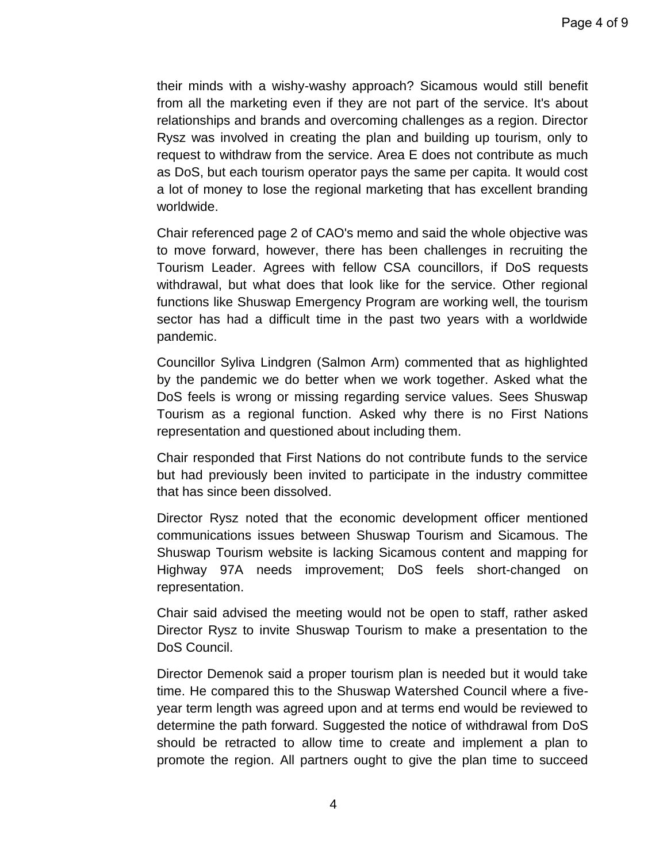their minds with a wishy-washy approach? Sicamous would still benefit from all the marketing even if they are not part of the service. It's about relationships and brands and overcoming challenges as a region. Director Rysz was involved in creating the plan and building up tourism, only to request to withdraw from the service. Area E does not contribute as much as DoS, but each tourism operator pays the same per capita. It would cost a lot of money to lose the regional marketing that has excellent branding worldwide.

Chair referenced page 2 of CAO's memo and said the whole objective was to move forward, however, there has been challenges in recruiting the Tourism Leader. Agrees with fellow CSA councillors, if DoS requests withdrawal, but what does that look like for the service. Other regional functions like Shuswap Emergency Program are working well, the tourism sector has had a difficult time in the past two years with a worldwide pandemic.

Councillor Syliva Lindgren (Salmon Arm) commented that as highlighted by the pandemic we do better when we work together. Asked what the DoS feels is wrong or missing regarding service values. Sees Shuswap Tourism as a regional function. Asked why there is no First Nations representation and questioned about including them.

Chair responded that First Nations do not contribute funds to the service but had previously been invited to participate in the industry committee that has since been dissolved.

Director Rysz noted that the economic development officer mentioned communications issues between Shuswap Tourism and Sicamous. The Shuswap Tourism website is lacking Sicamous content and mapping for Highway 97A needs improvement; DoS feels short-changed on representation.

Chair said advised the meeting would not be open to staff, rather asked Director Rysz to invite Shuswap Tourism to make a presentation to the DoS Council.

Director Demenok said a proper tourism plan is needed but it would take time. He compared this to the Shuswap Watershed Council where a fiveyear term length was agreed upon and at terms end would be reviewed to determine the path forward. Suggested the notice of withdrawal from DoS should be retracted to allow time to create and implement a plan to promote the region. All partners ought to give the plan time to succeed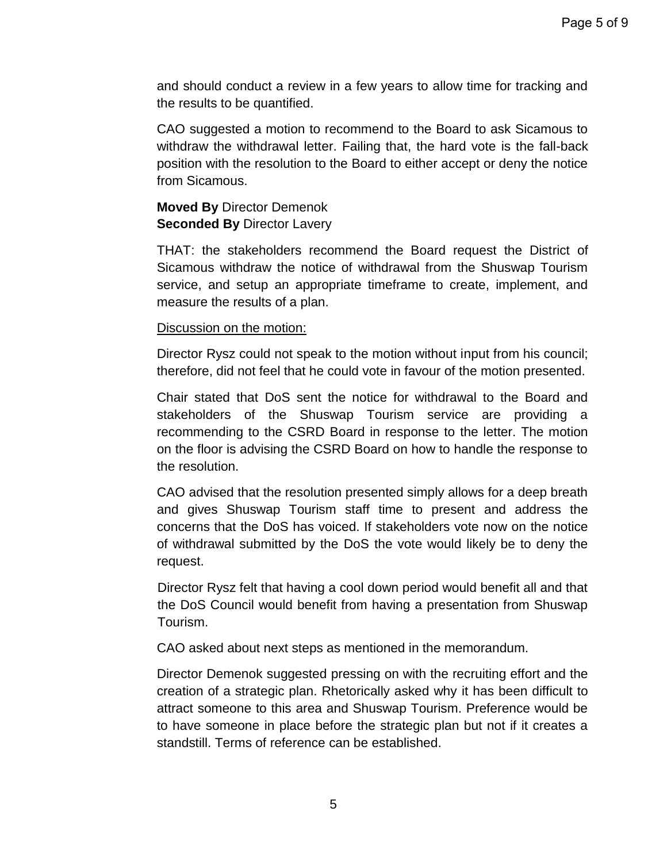and should conduct a review in a few years to allow time for tracking and the results to be quantified.

CAO suggested a motion to recommend to the Board to ask Sicamous to withdraw the withdrawal letter. Failing that, the hard vote is the fall-back position with the resolution to the Board to either accept or deny the notice from Sicamous.

# **Moved By** Director Demenok **Seconded By** Director Lavery

THAT: the stakeholders recommend the Board request the District of Sicamous withdraw the notice of withdrawal from the Shuswap Tourism service, and setup an appropriate timeframe to create, implement, and measure the results of a plan.

Discussion on the motion:

Director Rysz could not speak to the motion without input from his council; therefore, did not feel that he could vote in favour of the motion presented.

Chair stated that DoS sent the notice for withdrawal to the Board and stakeholders of the Shuswap Tourism service are providing a recommending to the CSRD Board in response to the letter. The motion on the floor is advising the CSRD Board on how to handle the response to the resolution.

CAO advised that the resolution presented simply allows for a deep breath and gives Shuswap Tourism staff time to present and address the concerns that the DoS has voiced. If stakeholders vote now on the notice of withdrawal submitted by the DoS the vote would likely be to deny the request.

Director Rysz felt that having a cool down period would benefit all and that the DoS Council would benefit from having a presentation from Shuswap Tourism.

CAO asked about next steps as mentioned in the memorandum.

Director Demenok suggested pressing on with the recruiting effort and the creation of a strategic plan. Rhetorically asked why it has been difficult to attract someone to this area and Shuswap Tourism. Preference would be to have someone in place before the strategic plan but not if it creates a standstill. Terms of reference can be established.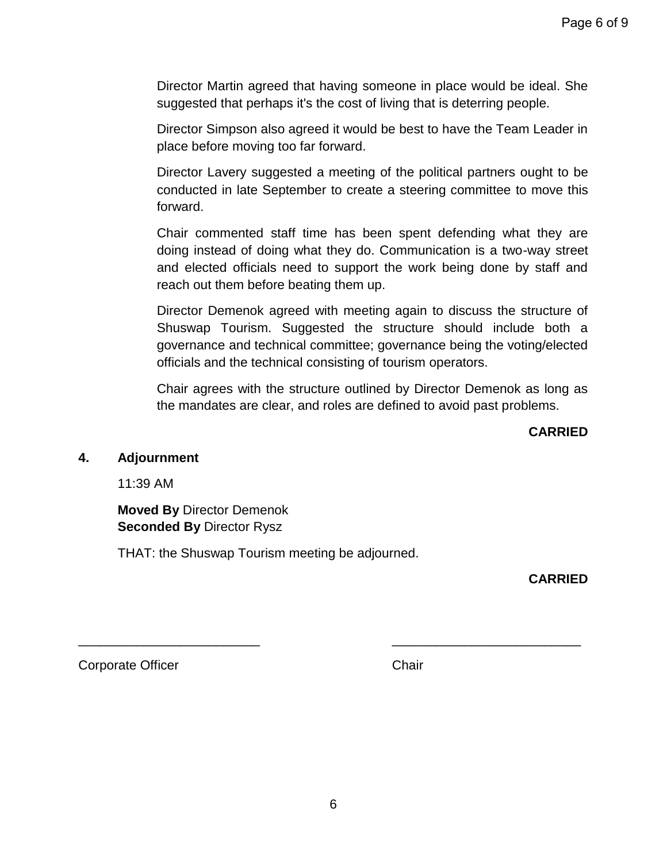Director Martin agreed that having someone in place would be ideal. She suggested that perhaps it's the cost of living that is deterring people.

Director Simpson also agreed it would be best to have the Team Leader in place before moving too far forward.

Director Lavery suggested a meeting of the political partners ought to be conducted in late September to create a steering committee to move this forward.

Chair commented staff time has been spent defending what they are doing instead of doing what they do. Communication is a two-way street and elected officials need to support the work being done by staff and reach out them before beating them up.

Director Demenok agreed with meeting again to discuss the structure of Shuswap Tourism. Suggested the structure should include both a governance and technical committee; governance being the voting/elected officials and the technical consisting of tourism operators.

Chair agrees with the structure outlined by Director Demenok as long as the mandates are clear, and roles are defined to avoid past problems.

**CARRIED**

## **4. Adjournment**

11:39 AM

**Moved By** Director Demenok **Seconded By** Director Rysz

THAT: the Shuswap Tourism meeting be adjourned.

**CARRIED**

Corporate Officer **Chair** Chair

\_\_\_\_\_\_\_\_\_\_\_\_\_\_\_\_\_\_\_\_\_\_\_\_\_ \_\_\_\_\_\_\_\_\_\_\_\_\_\_\_\_\_\_\_\_\_\_\_\_\_\_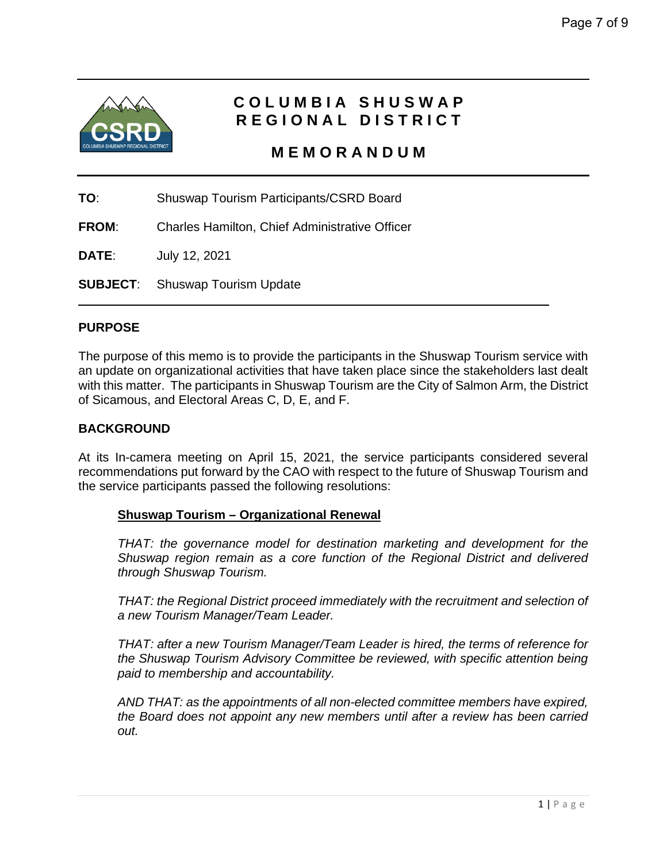

# **COLUMBIA SHUSWAP REGIONAL DISTRICT**

 **MEMORANDUM**

**TO**: Shuswap Tourism Participants/CSRD Board

**FROM**: Charles Hamilton, Chief Administrative Officer

**DATE**: July 12, 2021

**SUBJECT**: Shuswap Tourism Update

#### **PURPOSE**

The purpose of this memo is to provide the participants in the Shuswap Tourism service with an update on organizational activities that have taken place since the stakeholders last dealt with this matter. The participants in Shuswap Tourism are the City of Salmon Arm, the District of Sicamous, and Electoral Areas C, D, E, and F.

#### **BACKGROUND**

At its In-camera meeting on April 15, 2021, the service participants considered several recommendations put forward by the CAO with respect to the future of Shuswap Tourism and the service participants passed the following resolutions:

#### **Shuswap Tourism – Organizational Renewal**

*THAT: the governance model for destination marketing and development for the Shuswap region remain as a core function of the Regional District and delivered through Shuswap Tourism.*

*THAT: the Regional District proceed immediately with the recruitment and selection of a new Tourism Manager/Team Leader.*

*THAT: after a new Tourism Manager/Team Leader is hired, the terms of reference for the Shuswap Tourism Advisory Committee be reviewed, with specific attention being paid to membership and accountability.*

*AND THAT: as the appointments of all non-elected committee members have expired, the Board does not appoint any new members until after a review has been carried out.*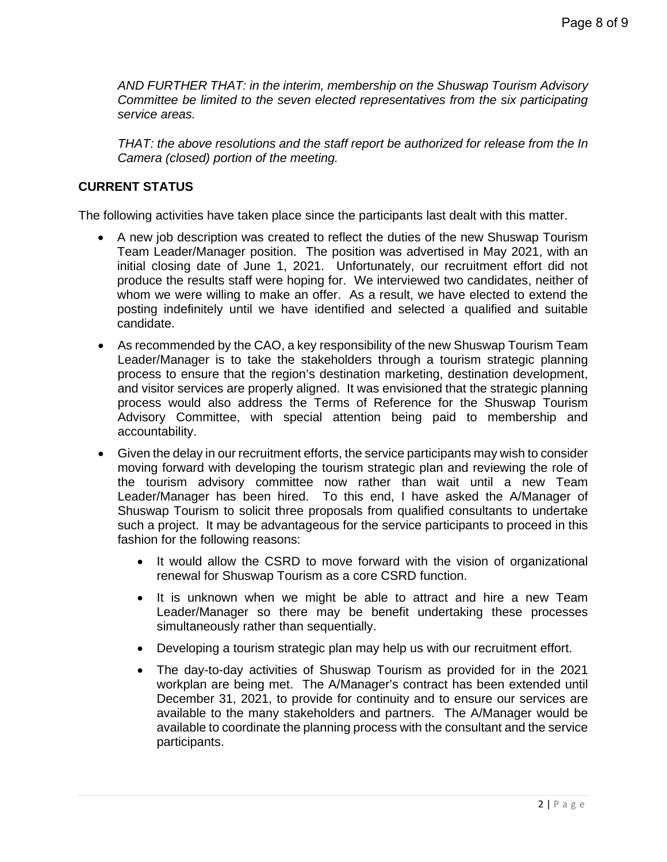*AND FURTHER THAT: in the interim, membership on the Shuswap Tourism Advisory Committee be limited to the seven elected representatives from the six participating service areas.*

*THAT: the above resolutions and the staff report be authorized for release from the In Camera (closed) portion of the meeting.*

### **CURRENT STATUS**

The following activities have taken place since the participants last dealt with this matter.

- A new job description was created to reflect the duties of the new Shuswap Tourism Team Leader/Manager position. The position was advertised in May 2021, with an initial closing date of June 1, 2021. Unfortunately, our recruitment effort did not produce the results staff were hoping for. We interviewed two candidates, neither of whom we were willing to make an offer. As a result, we have elected to extend the posting indefinitely until we have identified and selected a qualified and suitable candidate.
- As recommended by the CAO, a key responsibility of the new Shuswap Tourism Team Leader/Manager is to take the stakeholders through a tourism strategic planning process to ensure that the region's destination marketing, destination development, and visitor services are properly aligned. It was envisioned that the strategic planning process would also address the Terms of Reference for the Shuswap Tourism Advisory Committee, with special attention being paid to membership and accountability.
- Given the delay in our recruitment efforts, the service participants may wish to consider moving forward with developing the tourism strategic plan and reviewing the role of the tourism advisory committee now rather than wait until a new Team Leader/Manager has been hired. To this end, I have asked the A/Manager of Shuswap Tourism to solicit three proposals from qualified consultants to undertake such a project. It may be advantageous for the service participants to proceed in this fashion for the following reasons:
	- It would allow the CSRD to move forward with the vision of organizational renewal for Shuswap Tourism as a core CSRD function.
	- It is unknown when we might be able to attract and hire a new Team Leader/Manager so there may be benefit undertaking these processes simultaneously rather than sequentially.
	- Developing a tourism strategic plan may help us with our recruitment effort.
	- The day-to-day activities of Shuswap Tourism as provided for in the 2021 workplan are being met. The A/Manager's contract has been extended until December 31, 2021, to provide for continuity and to ensure our services are available to the many stakeholders and partners. The A/Manager would be available to coordinate the planning process with the consultant and the service participants.